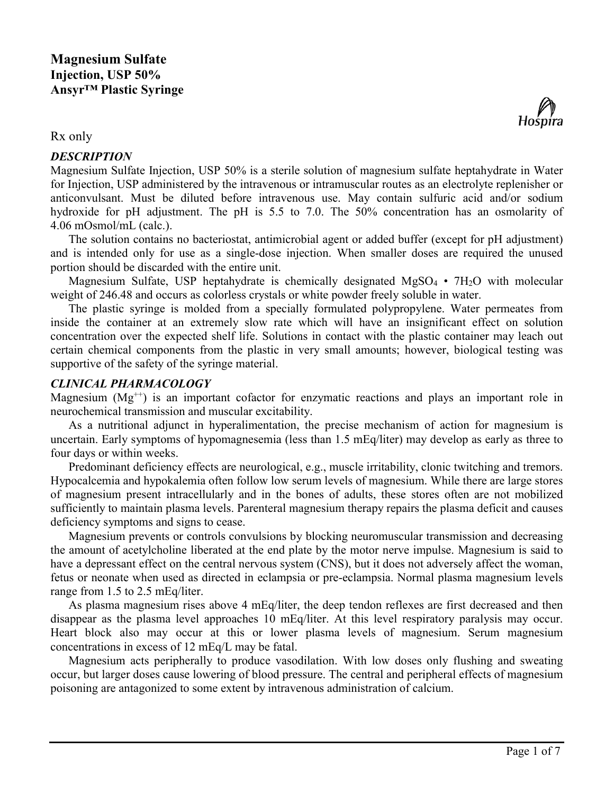

# *DESCRIPTION*



Magnesium Sulfate Injection, USP 50% is a sterile solution of magnesium sulfate heptahydrate in Water for Injection, USP administered by the intravenous or intramuscular routes as an electrolyte replenisher or anticonvulsant. Must be diluted before intravenous use. May contain sulfuric acid and/or sodium hydroxide for pH adjustment. The pH is 5.5 to 7.0. The 50% concentration has an osmolarity of 4.06 mOsmol/mL (calc.).

The solution contains no bacteriostat, antimicrobial agent or added buffer (except for pH adjustment) and is intended only for use as a single-dose injection. When smaller doses are required the unused portion should be discarded with the entire unit.

Magnesium Sulfate, USP heptahydrate is chemically designated  $MgSO<sub>4</sub> \cdot 7H<sub>2</sub>O$  with molecular weight of 246.48 and occurs as colorless crystals or white powder freely soluble in water.

The plastic syringe is molded from a specially formulated polypropylene. Water permeates from inside the container at an extremely slow rate which will have an insignificant effect on solution concentration over the expected shelf life. Solutions in contact with the plastic container may leach out certain chemical components from the plastic in very small amounts; however, biological testing was supportive of the safety of the syringe material.

# *CLINICAL PHARMACOLOGY*

Magnesium  $(Mg<sup>++</sup>)$  is an important cofactor for enzymatic reactions and plays an important role in neurochemical transmission and muscular excitability.

As a nutritional adjunct in hyperalimentation, the precise mechanism of action for magnesium is uncertain. Early symptoms of hypomagnesemia (less than 1.5 mEq/liter) may develop as early as three to four days or within weeks.

Predominant deficiency effects are neurological, e.g., muscle irritability, clonic twitching and tremors. Hypocalcemia and hypokalemia often follow low serum levels of magnesium. While there are large stores of magnesium present intracellularly and in the bones of adults, these stores often are not mobilized sufficiently to maintain plasma levels. Parenteral magnesium therapy repairs the plasma deficit and causes deficiency symptoms and signs to cease.

Magnesium prevents or controls convulsions by blocking neuromuscular transmission and decreasing the amount of acetylcholine liberated at the end plate by the motor nerve impulse. Magnesium is said to have a depressant effect on the central nervous system (CNS), but it does not adversely affect the woman, fetus or neonate when used as directed in eclampsia or pre-eclampsia. Normal plasma magnesium levels range from 1.5 to 2.5 mEq/liter.

As plasma magnesium rises above 4 mEq/liter, the deep tendon reflexes are first decreased and then disappear as the plasma level approaches 10 mEq/liter. At this level respiratory paralysis may occur. Heart block also may occur at this or lower plasma levels of magnesium. Serum magnesium concentrations in excess of 12 mEq/L may be fatal.

Magnesium acts peripherally to produce vasodilation. With low doses only flushing and sweating occur, but larger doses cause lowering of blood pressure. The central and peripheral effects of magnesium poisoning are antagonized to some extent by intravenous administration of calcium.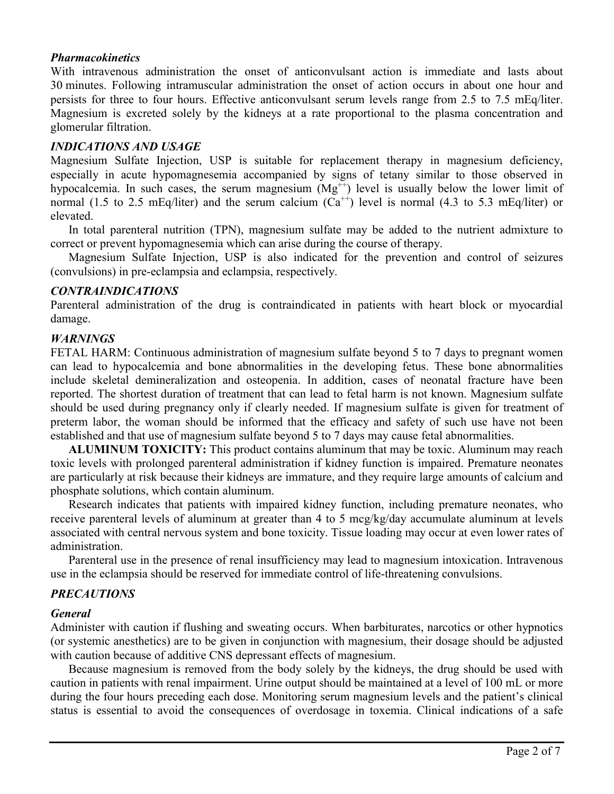#### *Pharmacokinetics*

With intravenous administration the onset of anticonvulsant action is immediate and lasts about 30 minutes. Following intramuscular administration the onset of action occurs in about one hour and persists for three to four hours. Effective anticonvulsant serum levels range from 2.5 to 7.5 mEq/liter. Magnesium is excreted solely by the kidneys at a rate proportional to the plasma concentration and glomerular filtration.

### *INDICATIONS AND USAGE*

Magnesium Sulfate Injection, USP is suitable for replacement therapy in magnesium deficiency, especially in acute hypomagnesemia accompanied by signs of tetany similar to those observed in hypocalcemia. In such cases, the serum magnesium  $(Mg^{++})$  level is usually below the lower limit of normal (1.5 to 2.5 mEq/liter) and the serum calcium  $(Ca^{++})$  level is normal (4.3 to 5.3 mEq/liter) or elevated.

In total parenteral nutrition (TPN), magnesium sulfate may be added to the nutrient admixture to correct or prevent hypomagnesemia which can arise during the course of therapy.

Magnesium Sulfate Injection, USP is also indicated for the prevention and control of seizures (convulsions) in pre-eclampsia and eclampsia, respectively.

### *CONTRAINDICATIONS*

Parenteral administration of the drug is contraindicated in patients with heart block or myocardial damage.

### *WARNINGS*

FETAL HARM: Continuous administration of magnesium sulfate beyond 5 to 7 days to pregnant women can lead to hypocalcemia and bone abnormalities in the developing fetus. These bone abnormalities include skeletal demineralization and osteopenia. In addition, cases of neonatal fracture have been reported. The shortest duration of treatment that can lead to fetal harm is not known. Magnesium sulfate should be used during pregnancy only if clearly needed. If magnesium sulfate is given for treatment of preterm labor, the woman should be informed that the efficacy and safety of such use have not been established and that use of magnesium sulfate beyond 5 to 7 days may cause fetal abnormalities.

**ALUMINUM TOXICITY:** This product contains aluminum that may be toxic. Aluminum may reach toxic levels with prolonged parenteral administration if kidney function is impaired. Premature neonates are particularly at risk because their kidneys are immature, and they require large amounts of calcium and phosphate solutions, which contain aluminum.

Research indicates that patients with impaired kidney function, including premature neonates, who receive parenteral levels of aluminum at greater than 4 to 5 mcg/kg/day accumulate aluminum at levels associated with central nervous system and bone toxicity. Tissue loading may occur at even lower rates of administration.

Parenteral use in the presence of renal insufficiency may lead to magnesium intoxication. Intravenous use in the eclampsia should be reserved for immediate control of life-threatening convulsions.

## *PRECAUTIONS*

#### *General*

Administer with caution if flushing and sweating occurs. When barbiturates, narcotics or other hypnotics (or systemic anesthetics) are to be given in conjunction with magnesium, their dosage should be adjusted with caution because of additive CNS depressant effects of magnesium.

Because magnesium is removed from the body solely by the kidneys, the drug should be used with caution in patients with renal impairment. Urine output should be maintained at a level of 100 mL or more during the four hours preceding each dose. Monitoring serum magnesium levels and the patient's clinical status is essential to avoid the consequences of overdosage in toxemia. Clinical indications of a safe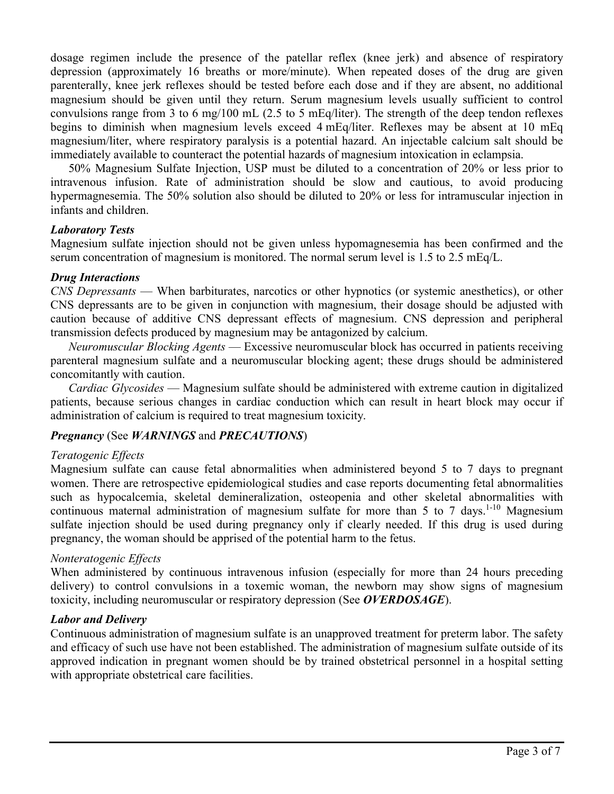dosage regimen include the presence of the patellar reflex (knee jerk) and absence of respiratory depression (approximately 16 breaths or more/minute). When repeated doses of the drug are given parenterally, knee jerk reflexes should be tested before each dose and if they are absent, no additional magnesium should be given until they return. Serum magnesium levels usually sufficient to control convulsions range from 3 to 6 mg/100 mL (2.5 to 5 mEq/liter). The strength of the deep tendon reflexes begins to diminish when magnesium levels exceed 4 mEq/liter. Reflexes may be absent at 10 mEq magnesium/liter, where respiratory paralysis is a potential hazard. An injectable calcium salt should be immediately available to counteract the potential hazards of magnesium intoxication in eclampsia.

50% Magnesium Sulfate Injection, USP must be diluted to a concentration of 20% or less prior to intravenous infusion. Rate of administration should be slow and cautious, to avoid producing hypermagnesemia. The 50% solution also should be diluted to 20% or less for intramuscular injection in infants and children.

### *Laboratory Tests*

Magnesium sulfate injection should not be given unless hypomagnesemia has been confirmed and the serum concentration of magnesium is monitored. The normal serum level is 1.5 to 2.5 mEq/L.

#### *Drug Interactions*

*CNS Depressants* — When barbiturates, narcotics or other hypnotics (or systemic anesthetics), or other CNS depressants are to be given in conjunction with magnesium, their dosage should be adjusted with caution because of additive CNS depressant effects of magnesium. CNS depression and peripheral transmission defects produced by magnesium may be antagonized by calcium.

*Neuromuscular Blocking Agents* — Excessive neuromuscular block has occurred in patients receiving parenteral magnesium sulfate and a neuromuscular blocking agent; these drugs should be administered concomitantly with caution.

*Cardiac Glycosides* — Magnesium sulfate should be administered with extreme caution in digitalized patients, because serious changes in cardiac conduction which can result in heart block may occur if administration of calcium is required to treat magnesium toxicity.

## *Pregnancy* (See *WARNINGS* and *PRECAUTIONS*)

#### *Teratogenic Effects*

Magnesium sulfate can cause fetal abnormalities when administered beyond 5 to 7 days to pregnant women. There are retrospective epidemiological studies and case reports documenting fetal abnormalities such as hypocalcemia, skeletal demineralization, osteopenia and other skeletal abnormalities with continuous maternal administration of magnesium sulfate for more than 5 to 7 days.<sup>1-10</sup> Magnesium sulfate injection should be used during pregnancy only if clearly needed. If this drug is used during pregnancy, the woman should be apprised of the potential harm to the fetus.

## *Nonteratogenic Effects*

When administered by continuous intravenous infusion (especially for more than 24 hours preceding delivery) to control convulsions in a toxemic woman, the newborn may show signs of magnesium toxicity, including neuromuscular or respiratory depression (See *OVERDOSAGE*).

#### *Labor and Delivery*

Continuous administration of magnesium sulfate is an unapproved treatment for preterm labor. The safety and efficacy of such use have not been established. The administration of magnesium sulfate outside of its approved indication in pregnant women should be by trained obstetrical personnel in a hospital setting with appropriate obstetrical care facilities.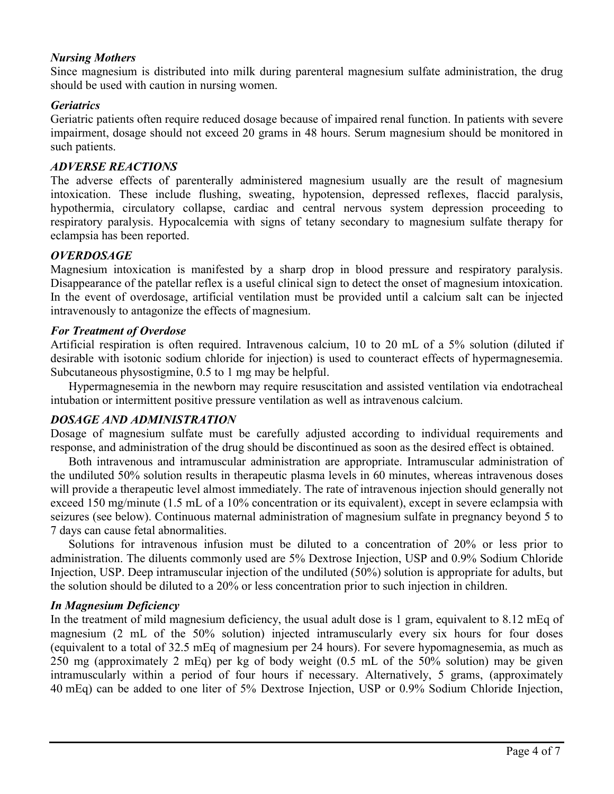### *Nursing Mothers*

Since magnesium is distributed into milk during parenteral magnesium sulfate administration, the drug should be used with caution in nursing women.

### *Geriatrics*

Geriatric patients often require reduced dosage because of impaired renal function. In patients with severe impairment, dosage should not exceed 20 grams in 48 hours. Serum magnesium should be monitored in such patients.

#### *ADVERSE REACTIONS*

The adverse effects of parenterally administered magnesium usually are the result of magnesium intoxication. These include flushing, sweating, hypotension, depressed reflexes, flaccid paralysis, hypothermia, circulatory collapse, cardiac and central nervous system depression proceeding to respiratory paralysis. Hypocalcemia with signs of tetany secondary to magnesium sulfate therapy for eclampsia has been reported.

### *OVERDOSAGE*

Magnesium intoxication is manifested by a sharp drop in blood pressure and respiratory paralysis. Disappearance of the patellar reflex is a useful clinical sign to detect the onset of magnesium intoxication. In the event of overdosage, artificial ventilation must be provided until a calcium salt can be injected intravenously to antagonize the effects of magnesium.

### *For Treatment of Overdose*

Artificial respiration is often required. Intravenous calcium, 10 to 20 mL of a 5% solution (diluted if desirable with isotonic sodium chloride for injection) is used to counteract effects of hypermagnesemia. Subcutaneous physostigmine, 0.5 to 1 mg may be helpful.

Hypermagnesemia in the newborn may require resuscitation and assisted ventilation via endotracheal intubation or intermittent positive pressure ventilation as well as intravenous calcium.

#### *DOSAGE AND ADMINISTRATION*

Dosage of magnesium sulfate must be carefully adjusted according to individual requirements and response, and administration of the drug should be discontinued as soon as the desired effect is obtained.

Both intravenous and intramuscular administration are appropriate. Intramuscular administration of the undiluted 50% solution results in therapeutic plasma levels in 60 minutes, whereas intravenous doses will provide a therapeutic level almost immediately. The rate of intravenous injection should generally not exceed 150 mg/minute (1.5 mL of a 10% concentration or its equivalent), except in severe eclampsia with seizures (see below). Continuous maternal administration of magnesium sulfate in pregnancy beyond 5 to 7 days can cause fetal abnormalities.

Solutions for intravenous infusion must be diluted to a concentration of 20% or less prior to administration. The diluents commonly used are 5% Dextrose Injection, USP and 0.9% Sodium Chloride Injection, USP. Deep intramuscular injection of the undiluted (50%) solution is appropriate for adults, but the solution should be diluted to a 20% or less concentration prior to such injection in children.

#### *In Magnesium Deficiency*

In the treatment of mild magnesium deficiency, the usual adult dose is 1 gram, equivalent to 8.12 mEq of magnesium (2 mL of the 50% solution) injected intramuscularly every six hours for four doses (equivalent to a total of 32.5 mEq of magnesium per 24 hours). For severe hypomagnesemia, as much as 250 mg (approximately 2 mEq) per kg of body weight (0.5 mL of the 50% solution) may be given intramuscularly within a period of four hours if necessary. Alternatively, 5 grams, (approximately 40 mEq) can be added to one liter of 5% Dextrose Injection, USP or 0.9% Sodium Chloride Injection,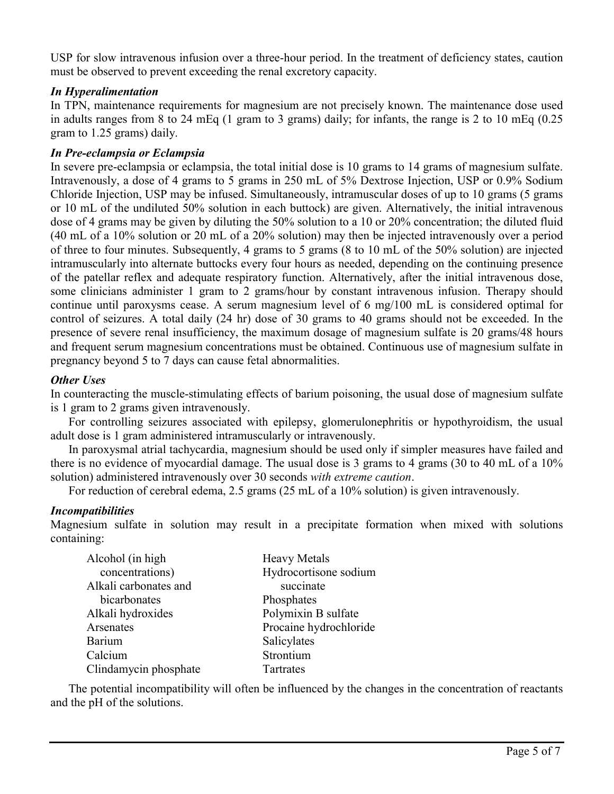USP for slow intravenous infusion over a three-hour period. In the treatment of deficiency states, caution must be observed to prevent exceeding the renal excretory capacity.

# *In Hyperalimentation*

In TPN, maintenance requirements for magnesium are not precisely known. The maintenance dose used in adults ranges from 8 to 24 mEq (1 gram to 3 grams) daily; for infants, the range is 2 to 10 mEq (0.25 gram to 1.25 grams) daily.

### *In Pre-eclampsia or Eclampsia*

In severe pre-eclampsia or eclampsia, the total initial dose is 10 grams to 14 grams of magnesium sulfate. Intravenously, a dose of 4 grams to 5 grams in 250 mL of 5% Dextrose Injection, USP or 0.9% Sodium Chloride Injection, USP may be infused. Simultaneously, intramuscular doses of up to 10 grams (5 grams or 10 mL of the undiluted 50% solution in each buttock) are given. Alternatively, the initial intravenous dose of 4 grams may be given by diluting the 50% solution to a 10 or 20% concentration; the diluted fluid (40 mL of a 10% solution or 20 mL of a 20% solution) may then be injected intravenously over a period of three to four minutes. Subsequently, 4 grams to 5 grams (8 to 10 mL of the 50% solution) are injected intramuscularly into alternate buttocks every four hours as needed, depending on the continuing presence of the patellar reflex and adequate respiratory function. Alternatively, after the initial intravenous dose, some clinicians administer 1 gram to 2 grams/hour by constant intravenous infusion. Therapy should continue until paroxysms cease. A serum magnesium level of 6 mg/100 mL is considered optimal for control of seizures. A total daily (24 hr) dose of 30 grams to 40 grams should not be exceeded. In the presence of severe renal insufficiency, the maximum dosage of magnesium sulfate is 20 grams/48 hours and frequent serum magnesium concentrations must be obtained. Continuous use of magnesium sulfate in pregnancy beyond 5 to 7 days can cause fetal abnormalities.

## *Other Uses*

In counteracting the muscle-stimulating effects of barium poisoning, the usual dose of magnesium sulfate is 1 gram to 2 grams given intravenously.

For controlling seizures associated with epilepsy, glomerulonephritis or hypothyroidism, the usual adult dose is 1 gram administered intramuscularly or intravenously.

In paroxysmal atrial tachycardia, magnesium should be used only if simpler measures have failed and there is no evidence of myocardial damage. The usual dose is 3 grams to 4 grams (30 to 40 mL of a 10% solution) administered intravenously over 30 seconds *with extreme caution*.

For reduction of cerebral edema, 2.5 grams (25 mL of a 10% solution) is given intravenously.

## *Incompatibilities*

Magnesium sulfate in solution may result in a precipitate formation when mixed with solutions containing:

| Alcohol (in high      | <b>Heavy Metals</b>    |  |  |
|-----------------------|------------------------|--|--|
| concentrations)       | Hydrocortisone sodium  |  |  |
| Alkali carbonates and | succinate              |  |  |
| bicarbonates          | Phosphates             |  |  |
| Alkali hydroxides     | Polymixin B sulfate    |  |  |
| Arsenates             | Procaine hydrochloride |  |  |
| Barium                | Salicylates            |  |  |
| Calcium               | Strontium              |  |  |
| Clindamycin phosphate | Tartrates              |  |  |

The potential incompatibility will often be influenced by the changes in the concentration of reactants and the pH of the solutions.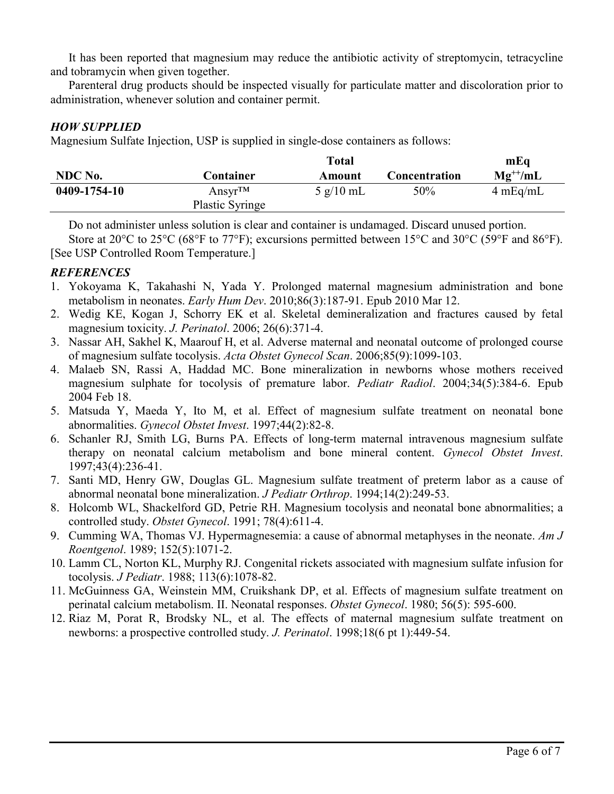It has been reported that magnesium may reduce the antibiotic activity of streptomycin, tetracycline and tobramycin when given together.

Parenteral drug products should be inspected visually for particulate matter and discoloration prior to administration, whenever solution and container permit.

# *HOW SUPPLIED*

Magnesium Sulfate Injection, USP is supplied in single-dose containers as follows:

|              |                        | Total                       |                      | mEq          |
|--------------|------------------------|-----------------------------|----------------------|--------------|
| NDC No.      | <b>Container</b>       | Amount                      | <b>Concentration</b> | $Mg^{++}/mL$ |
| 0409-1754-10 | Ansyr <sup>TM</sup>    | $5 \text{ g}/10 \text{ mL}$ | 50%                  | 4 mEq/mL     |
|              | <b>Plastic Syringe</b> |                             |                      |              |

Do not administer unless solution is clear and container is undamaged. Discard unused portion.

Store at 20°C to 25°C (68°F to 77°F); excursions permitted between 15°C and 30°C (59°F and 86°F). [See USP Controlled Room Temperature.]

# *REFERENCES*

- 1. Yokoyama K, Takahashi N, Yada Y. Prolonged maternal magnesium administration and bone metabolism in neonates. *Early Hum Dev*. 2010;86(3):187-91. Epub 2010 Mar 12.
- 2. Wedig KE, Kogan J, Schorry EK et al. Skeletal demineralization and fractures caused by fetal magnesium toxicity. *J. Perinatol*. 2006; 26(6):371-4.
- 3. Nassar AH, Sakhel K, Maarouf H, et al. Adverse maternal and neonatal outcome of prolonged course of magnesium sulfate tocolysis. *Acta Obstet Gynecol Scan*. 2006;85(9):1099-103.
- 4. Malaeb SN, Rassi A, Haddad MC. Bone mineralization in newborns whose mothers received magnesium sulphate for tocolysis of premature labor. *Pediatr Radiol*. 2004;34(5):384-6. Epub 2004 Feb 18.
- 5. Matsuda Y, Maeda Y, Ito M, et al. Effect of magnesium sulfate treatment on neonatal bone abnormalities. *Gynecol Obstet Invest*. 1997;44(2):82-8.
- 6. Schanler RJ, Smith LG, Burns PA. Effects of long-term maternal intravenous magnesium sulfate therapy on neonatal calcium metabolism and bone mineral content. *Gynecol Obstet Invest*. 1997;43(4):236-41.
- 7. Santi MD, Henry GW, Douglas GL. Magnesium sulfate treatment of preterm labor as a cause of abnormal neonatal bone mineralization. *J Pediatr Orthrop*. 1994;14(2):249-53.
- 8. Holcomb WL, Shackelford GD, Petrie RH. Magnesium tocolysis and neonatal bone abnormalities; a controlled study. *Obstet Gynecol*. 1991; 78(4):611-4.
- 9. Cumming WA, Thomas VJ. Hypermagnesemia: a cause of abnormal metaphyses in the neonate. *Am J Roentgenol*. 1989; 152(5):1071-2.
- 10. Lamm CL, Norton KL, Murphy RJ. Congenital rickets associated with magnesium sulfate infusion for tocolysis. *J Pediatr*. 1988; 113(6):1078-82.
- 11. McGuinness GA, Weinstein MM, Cruikshank DP, et al. Effects of magnesium sulfate treatment on perinatal calcium metabolism. II. Neonatal responses. *Obstet Gynecol*. 1980; 56(5): 595-600.
- 12. Riaz M, Porat R, Brodsky NL, et al. The effects of maternal magnesium sulfate treatment on newborns: a prospective controlled study. *J. Perinatol*. 1998;18(6 pt 1):449-54.